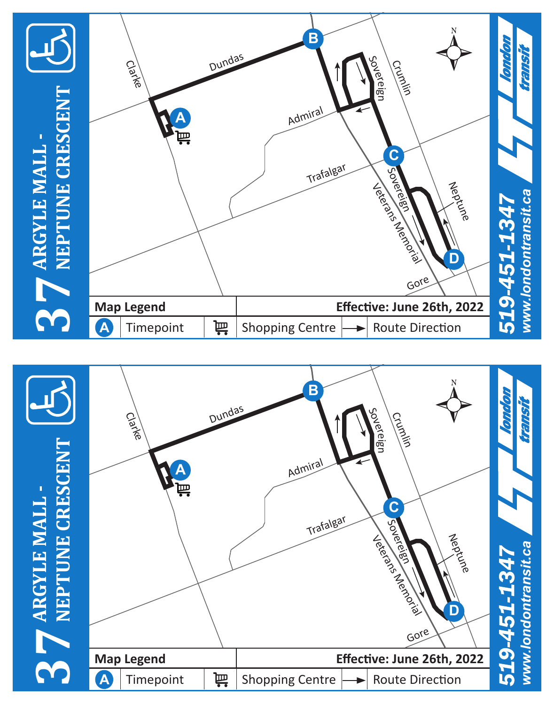